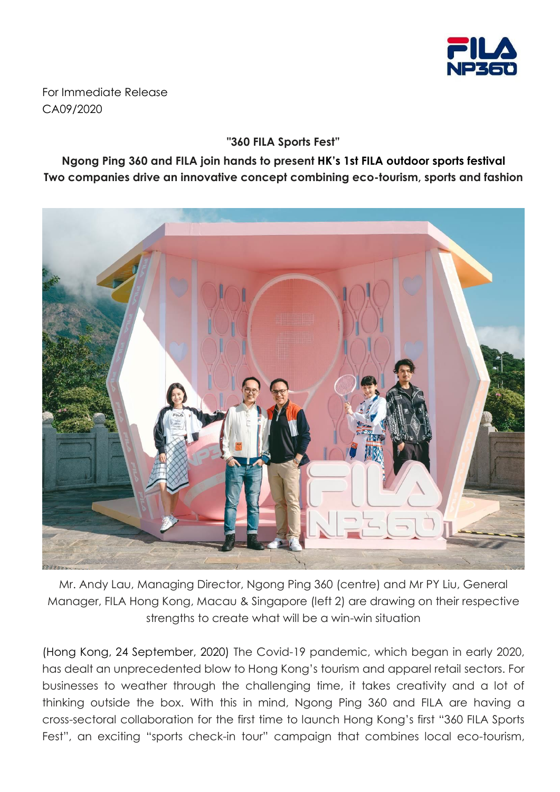

For Immediate Release CA09/2020

**"360 FILA Sports Fest"**

**Ngong Ping 360 and FILA join hands to present HK's 1st FILA outdoor sports festival Two companies drive an innovative concept combining eco-tourism, sports and fashion**



Mr. Andy Lau, Managing Director, Ngong Ping 360 (centre) and Mr PY Liu, General Manager, FILA Hong Kong, Macau & Singapore (left 2) are drawing on their respective strengths to create what will be a win-win situation

(Hong Kong, 24 September, 2020) The Covid-19 pandemic, which began in early 2020, has dealt an unprecedented blow to Hong Kong's tourism and apparel retail sectors. For businesses to weather through the challenging time, it takes creativity and a lot of thinking outside the box. With this in mind, Ngong Ping 360 and FILA are having a cross-sectoral collaboration for the first time to launch Hong Kong's first "360 FILA Sports Fest", an exciting "sports check-in tour" campaign that combines local eco-tourism,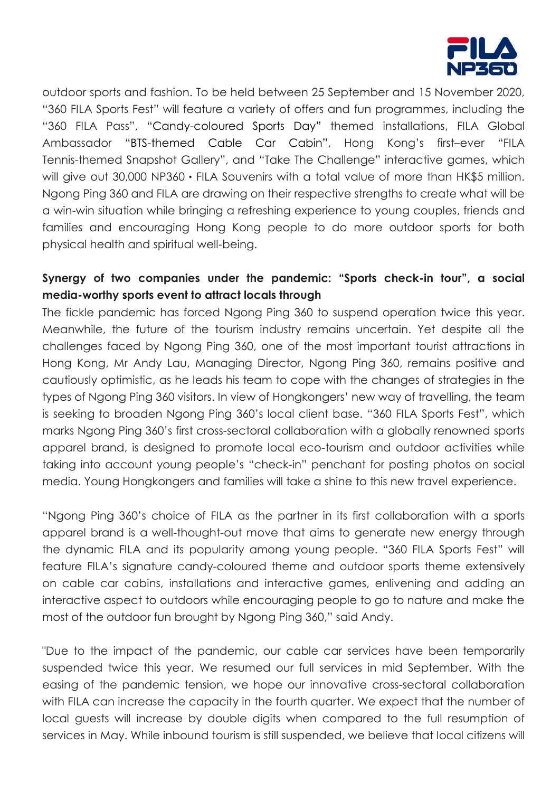

outdoor sports and fashion. To be held between 25 September and 15 November 2020, "360 FILA Sports Fest" will feature a variety of offers and fun programmes, including the "360 FILA Pass", "Candy-coloured Sports Day" themed installations, FILA Global Ambassador "BTS-themed Cable Car Cabin", Hong Kong's first–ever "FILA Tennis-themed Snapshot Gallery", and "Take The Challenge" interactive games, which will give out 30,000 NP360 · FILA Souvenirs with a total value of more than HK\$5 million. Ngong Ping 360 and FILA are drawing on their respective strengths to create what will be a win-win situation while bringing a refreshing experience to young couples, friends and families and encouraging Hong Kong people to do more outdoor sports for both physical health and spiritual well-being.

# **Synergy of two companies under the pandemic: "Sports check-in tour", a social media-worthy sports event to attract locals through**

The fickle pandemic has forced Ngong Ping 360 to suspend operation twice this year. Meanwhile, the future of the tourism industry remains uncertain. Yet despite all the challenges faced by Ngong Ping 360, one of the most important tourist attractions in Hong Kong, Mr Andy Lau, Managing Director, Ngong Ping 360, remains positive and cautiously optimistic, as he leads his team to cope with the changes of strategies in the types of Ngong Ping 360 visitors. In view of Hongkongers' new way of travelling, the team is seeking to broaden Ngong Ping 360's local client base. "360 FILA Sports Fest", which marks Ngong Ping 360's first cross-sectoral collaboration with a globally renowned sports apparel brand, is designed to promote local eco-tourism and outdoor activities while taking into account young people's "check-in" penchant for posting photos on social media. Young Hongkongers and families will take a shine to this new travel experience.

"Ngong Ping 360's choice of FILA as the partner in its first collaboration with a sports apparel brand is a well-thought-out move that aims to generate new energy through the dynamic FILA and its popularity among young people. "360 FILA Sports Fest" will feature FILA's signature candy-coloured theme and outdoor sports theme extensively on cable car cabins, installations and interactive games, enlivening and adding an interactive aspect to outdoors while encouraging people to go to nature and make the most of the outdoor fun brought by Ngong Ping 360," said Andy.

"Due to the impact of the pandemic, our cable car services have been temporarily suspended twice this year. We resumed our full services in mid September. With the easing of the pandemic tension, we hope our innovative cross-sectoral collaboration with FILA can increase the capacity in the fourth quarter. We expect that the number of local guests will increase by double digits when compared to the full resumption of services in May. While inbound tourism is still suspended, we believe that local citizens will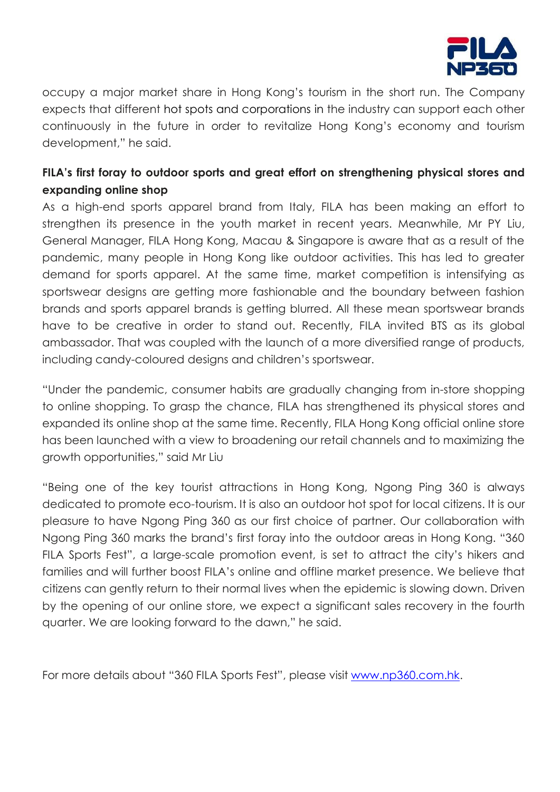

occupy a major market share in Hong Kong's tourism in the short run. The Company expects that different hot spots and corporations in the industry can support each other continuously in the future in order to revitalize Hong Kong's economy and tourism development," he said.

# **FILA's first foray to outdoor sports and great effort on strengthening physical stores and expanding online shop**

As a high-end sports apparel brand from Italy, FILA has been making an effort to strengthen its presence in the youth market in recent years. Meanwhile, Mr PY Liu, General Manager, FILA Hong Kong, Macau & Singapore is aware that as a result of the pandemic, many people in Hong Kong like outdoor activities. This has led to greater demand for sports apparel. At the same time, market competition is intensifying as sportswear designs are getting more fashionable and the boundary between fashion brands and sports apparel brands is getting blurred. All these mean sportswear brands have to be creative in order to stand out. Recently, FILA invited BTS as its global ambassador. That was coupled with the launch of a more diversified range of products, including candy-coloured designs and children's sportswear.

"Under the pandemic, consumer habits are gradually changing from in-store shopping to online shopping. To grasp the chance, FILA has strengthened its physical stores and expanded its online shop at the same time. Recently, FILA Hong Kong official online store has been launched with a view to broadening our retail channels and to maximizing the growth opportunities," said Mr Liu

"Being one of the key tourist attractions in Hong Kong, Ngong Ping 360 is always dedicated to promote eco-tourism. It is also an outdoor hot spot for local citizens. It is our pleasure to have Ngong Ping 360 as our first choice of partner. Our collaboration with Ngong Ping 360 marks the brand's first foray into the outdoor areas in Hong Kong. "360 FILA Sports Fest", a large-scale promotion event, is set to attract the city's hikers and families and will further boost FILA's online and offline market presence. We believe that citizens can gently return to their normal lives when the epidemic is slowing down. Driven by the opening of our online store, we expect a significant sales recovery in the fourth quarter. We are looking forward to the dawn," he said.

For more details about "360 FILA Sports Fest", please visit [www.np360.com.hk.](http://www.np360.com.hk/)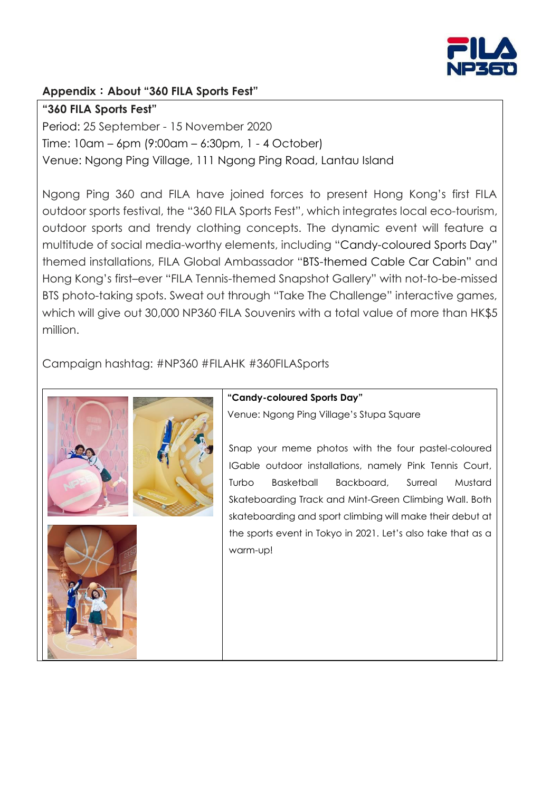

# **Appendix**:**About "360 FILA Sports Fest"**

### **"360 FILA Sports Fest"**

Period: 25 September - 15 November 2020 Time: 10am – 6pm (9:00am – 6:30pm, 1 - 4 October) Venue: Ngong Ping Village, 111 Ngong Ping Road, Lantau Island

Ngong Ping 360 and FILA have joined forces to present Hong Kong's first FILA outdoor sports festival, the "360 FILA Sports Fest", which integrates local eco-tourism, outdoor sports and trendy clothing concepts. The dynamic event will feature a multitude of social media-worthy elements, including "Candy-coloured Sports Day" themed installations, FILA Global Ambassador "BTS-themed Cable Car Cabin" and Hong Kong's first–ever "FILA Tennis-themed Snapshot Gallery" with not-to-be-missed BTS photo-taking spots. Sweat out through "Take The Challenge" interactive games, which will give out 30,000 NP360 FILA Souvenirs with a total value of more than HK\$5 million.

Campaign hashtag: #NP360 #FILAHK #360FILASports



**"Candy-coloured Sports Day"**

Venue: Ngong Ping Village's Stupa Square

Snap your meme photos with the four pastel-coloured IGable outdoor installations, namely Pink Tennis Court, Turbo Basketball Backboard, Surreal Mustard Skateboarding Track and Mint-Green Climbing Wall. Both skateboarding and sport climbing will make their debut at the sports event in Tokyo in 2021. Let's also take that as a warm-up!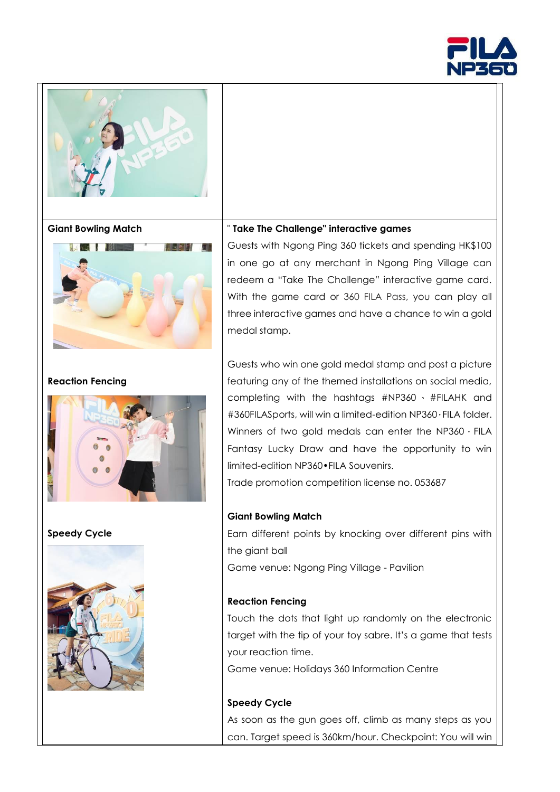



#### **Giant Bowling Match**



#### **Reaction Fencing**



**Speedy Cycle**



#### " **Take The Challenge" interactive games**

Guests with Ngong Ping 360 tickets and spending HK\$100 in one go at any merchant in Ngong Ping Village can redeem a "Take The Challenge" interactive game card. With the game card or 360 FILA Pass, you can play all three interactive games and have a chance to win a gold medal stamp.

Guests who win one gold medal stamp and post a picture featuring any of the themed installations on social media, completing with the hashtags #NP360 、 #FILAHK and #360FILASports, will win a limited-edition NP360.FILA folder. Winners of two gold medals can enter the NP360  $\cdot$  FILA Fantasy Lucky Draw and have the opportunity to win limited-edition NP360•FILA Souvenirs.

Trade promotion competition license no. 053687

#### **Giant Bowling Match**

Earn different points by knocking over different pins with the giant ball Game venue: Ngong Ping Village - Pavilion

#### **Reaction Fencing**

Touch the dots that light up randomly on the electronic target with the tip of your toy sabre. It's a game that tests your reaction time.

Game venue: Holidays 360 Information Centre

# **Speedy Cycle** As soon as the gun goes off, climb as many steps as you can. Target speed is 360km/hour. Checkpoint: You will win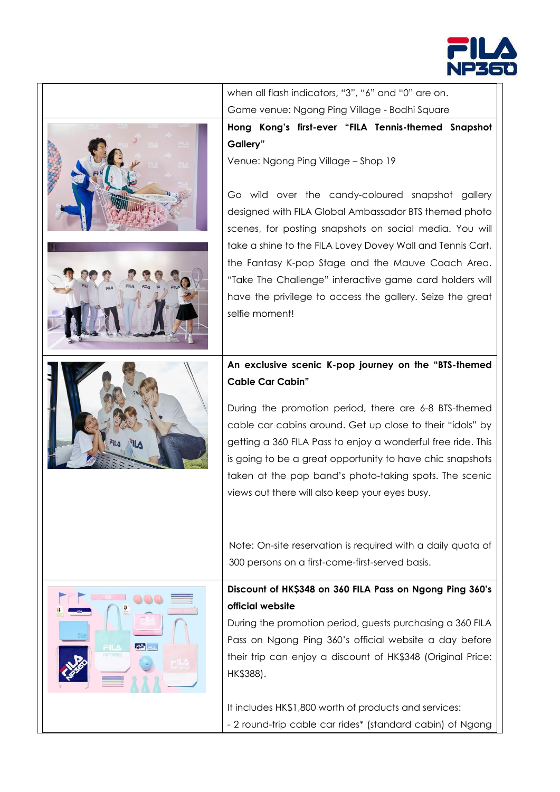



when all flash indicators, "3", "6" and "0" are on. Game venue: Ngong Ping Village - Bodhi Square

**Hong Kong's first-ever "FILA Tennis-themed Snapshot**

Venue: Ngong Ping Village – Shop 19

Go wild over the candy-coloured snapshot gallery designed with FILA Global Ambassador BTS themed photo scenes, for posting snapshots on social media. You will take a shine to the FILA Lovey Dovey Wall and Tennis Cart, the Fantasy K-pop Stage and the Mauve Coach Area. "Take The Challenge" interactive game card holders will have the privilege to access the gallery. Seize the great selfie moment!

## **An exclusive scenic K-pop journey on the "BTS-themed Cable Car Cabin"**

During the promotion period, there are 6-8 BTS-themed cable car cabins around. Get up close to their "idols" by getting a 360 FILA Pass to enjoy a wonderful free ride. This is going to be a great opportunity to have chic snapshots taken at the pop band's photo-taking spots. The scenic views out there will also keep your eyes busy.

Note: On-site reservation is required with a daily quota of 300 persons on a first-come-first-served basis.

### **Discount of HK\$348 on 360 FILA Pass on Ngong Ping 360's official website**

During the promotion period, guests purchasing a 360 FILA Pass on Ngong Ping 360's official website a day before their trip can enjoy a discount of HK\$348 (Original Price:

It includes HK\$1,800 worth of products and services: - 2 round-trip cable car rides\* (standard cabin) of Ngong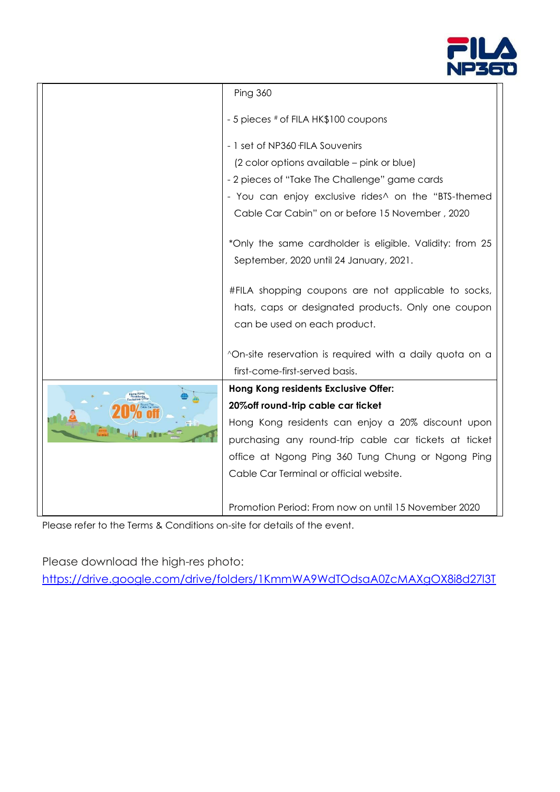

|  | <b>Ping 360</b>                                                                                                                                                                                                                          |
|--|------------------------------------------------------------------------------------------------------------------------------------------------------------------------------------------------------------------------------------------|
|  | - 5 pieces # of FILA HK\$100 coupons                                                                                                                                                                                                     |
|  | - 1 set of NP360 FILA Souvenirs<br>(2 color options available – pink or blue)<br>- 2 pieces of "Take The Challenge" game cards<br>- You can enjoy exclusive rides^ on the "BTS-themed<br>Cable Car Cabin" on or before 15 November, 2020 |
|  | *Only the same cardholder is eligible. Validity: from 25<br>September, 2020 until 24 January, 2021.                                                                                                                                      |
|  | #FILA shopping coupons are not applicable to socks,<br>hats, caps or designated products. Only one coupon<br>can be used on each product.                                                                                                |
|  | ^On-site reservation is required with a daily quota on a<br>first-come-first-served basis.                                                                                                                                               |
|  | Hong Kong residents Exclusive Offer:                                                                                                                                                                                                     |
|  | 20% off round-trip cable car ticket                                                                                                                                                                                                      |
|  | Hong Kong residents can enjoy a 20% discount upon                                                                                                                                                                                        |
|  | purchasing any round-trip cable car tickets at ticket                                                                                                                                                                                    |
|  | office at Ngong Ping 360 Tung Chung or Ngong Ping                                                                                                                                                                                        |
|  | Cable Car Terminal or official website.                                                                                                                                                                                                  |
|  | Promotion Period: From now on until 15 November 2020                                                                                                                                                                                     |

Please refer to the Terms & Conditions on-site for details of the event.

Please download the high-res photo:

<https://drive.google.com/drive/folders/1KmmWA9WdTOdsaA0ZcMAXgOX8i8d27l3T>